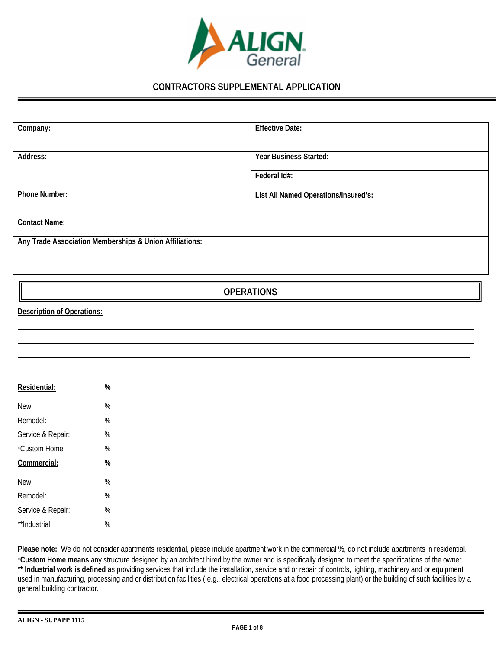

## **CONTRACTORS SUPPLEMENTAL APPLICATION**

| Company:                                                | <b>Effective Date:</b>               |
|---------------------------------------------------------|--------------------------------------|
|                                                         |                                      |
| Address:                                                | Year Business Started:               |
|                                                         |                                      |
|                                                         | Federal Id#:                         |
|                                                         |                                      |
| <b>Phone Number:</b>                                    | List All Named Operations/Insured's: |
|                                                         |                                      |
|                                                         |                                      |
| <b>Contact Name:</b>                                    |                                      |
|                                                         |                                      |
|                                                         |                                      |
| Any Trade Association Memberships & Union Affiliations: |                                      |
|                                                         |                                      |
|                                                         |                                      |
|                                                         |                                      |

**OPERATIONS**

#### **Description of Operations:**

| Residential:      | % |
|-------------------|---|
| New:              | % |
| Remodel:          | % |
| Service & Repair: | % |
| *Custom Home:     | % |
| Commercial:       | % |
| New:              | % |
| Remodel:          | % |
| Service & Repair: | % |
| **Industrial:     | % |

Please note: We do not consider apartments residential, please include apartment work in the commercial %, do not include apartments in residential. \***Custom Home means** any structure designed by an architect hired by the owner and is specifically designed to meet the specifications of the owner. \*\* Industrial work is defined as providing services that include the installation, service and or repair of controls, lighting, machinery and or equipment used in manufacturing, processing and or distribution facilities ( e.g., electrical operations at a food processing plant) or the building of such facilities by a general building contractor.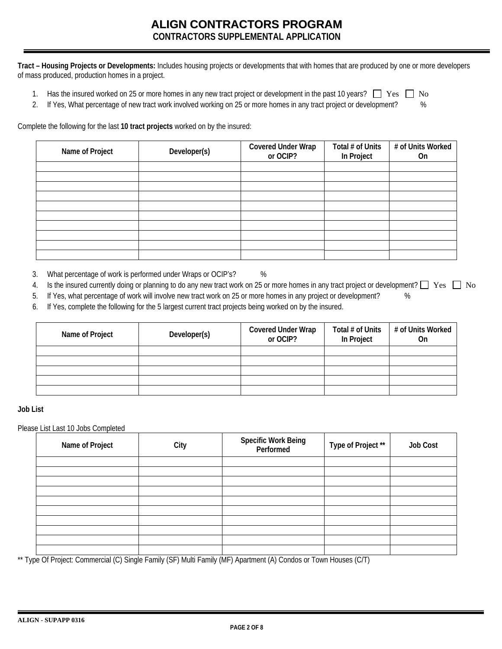## **ALIGN CONTRACTORS PROGRAM CONTRACTORS SUPPLEMENTAL APPLICATION**

**Tract – Housing Projects or Developments:** Includes housing projects or developments that with homes that are produced by one or more developers of mass produced, production homes in a project.

- 1. Has the insured worked on 25 or more homes in any new tract project or development in the past 10 years?  $\Box$  Yes  $\Box$  No
- 2. If Yes, What percentage of new tract work involved working on 25 or more homes in any tract project or development?  $\frac{8}{3}$

Complete the following for the last **10 tract projects** worked on by the insured:

| Name of Project | Developer(s) | <b>Covered Under Wrap</b><br>or OCIP? | Total # of Units<br>In Project | # of Units Worked<br>0n |
|-----------------|--------------|---------------------------------------|--------------------------------|-------------------------|
|                 |              |                                       |                                |                         |
|                 |              |                                       |                                |                         |
|                 |              |                                       |                                |                         |
|                 |              |                                       |                                |                         |
|                 |              |                                       |                                |                         |
|                 |              |                                       |                                |                         |
|                 |              |                                       |                                |                         |
|                 |              |                                       |                                |                         |
|                 |              |                                       |                                |                         |
|                 |              |                                       |                                |                         |

- 3. What percentage of work is performed under Wraps or OCIP's? %
- 4. Is the insured currently doing or planning to do any new tract work on 25 or more homes in any tract project or development?  $\Box$  Yes  $\Box$  No
- 5. If Yes, what percentage of work will involve new tract work on 25 or more homes in any project or development? %
- 6. If Yes, complete the following for the 5 largest current tract projects being worked on by the insured.

| Name of Project | Developer(s) | <b>Covered Under Wrap</b><br>or OCIP? | Total # of Units<br>In Project | # of Units Worked<br>0n |
|-----------------|--------------|---------------------------------------|--------------------------------|-------------------------|
|                 |              |                                       |                                |                         |
|                 |              |                                       |                                |                         |
|                 |              |                                       |                                |                         |
|                 |              |                                       |                                |                         |
|                 |              |                                       |                                |                         |

#### **Job List**

Please List Last 10 Jobs Completed

| Name of Project | City | Specific Work Being<br>Performed | Type of Project ** | <b>Job Cost</b> |
|-----------------|------|----------------------------------|--------------------|-----------------|
|                 |      |                                  |                    |                 |
|                 |      |                                  |                    |                 |
|                 |      |                                  |                    |                 |
|                 |      |                                  |                    |                 |
|                 |      |                                  |                    |                 |
|                 |      |                                  |                    |                 |
|                 |      |                                  |                    |                 |
|                 |      |                                  |                    |                 |
|                 |      |                                  |                    |                 |
|                 |      |                                  |                    |                 |

\*\* Type Of Project: Commercial (C) Single Family (SF) Multi Family (MF) Apartment (A) Condos or Town Houses (C/T)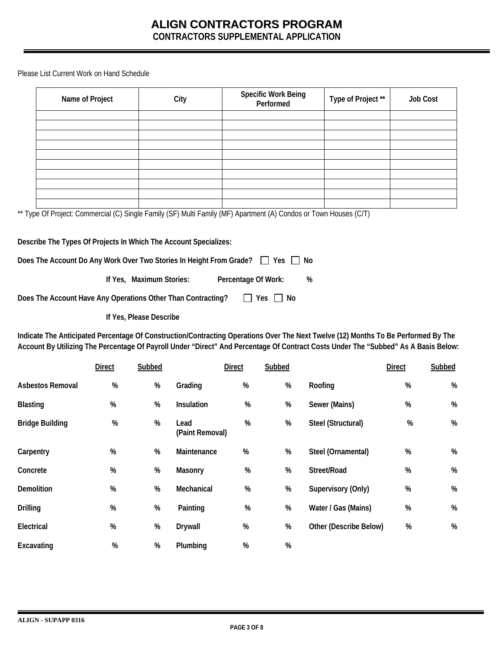**CONTRACTORS SUPPLEMENTAL APPLICATION** 

Please List Current Work on Hand Schedule

| Name of Project                                                                                                   |               |                          | City                    |                     | <b>Specific Work Being</b><br>Performed | Type of Project **                                                                                                                                                                                                                                                        |               | <b>Job Cost</b> |
|-------------------------------------------------------------------------------------------------------------------|---------------|--------------------------|-------------------------|---------------------|-----------------------------------------|---------------------------------------------------------------------------------------------------------------------------------------------------------------------------------------------------------------------------------------------------------------------------|---------------|-----------------|
|                                                                                                                   |               |                          |                         |                     |                                         |                                                                                                                                                                                                                                                                           |               |                 |
|                                                                                                                   |               |                          |                         |                     |                                         |                                                                                                                                                                                                                                                                           |               |                 |
|                                                                                                                   |               |                          |                         |                     |                                         |                                                                                                                                                                                                                                                                           |               |                 |
|                                                                                                                   |               |                          |                         |                     |                                         |                                                                                                                                                                                                                                                                           |               |                 |
|                                                                                                                   |               |                          |                         |                     |                                         |                                                                                                                                                                                                                                                                           |               |                 |
|                                                                                                                   |               |                          |                         |                     |                                         |                                                                                                                                                                                                                                                                           |               |                 |
| ** Type Of Project: Commercial (C) Single Family (SF) Multi Family (MF) Apartment (A) Condos or Town Houses (C/T) |               |                          |                         |                     |                                         |                                                                                                                                                                                                                                                                           |               |                 |
|                                                                                                                   |               |                          |                         |                     |                                         |                                                                                                                                                                                                                                                                           |               |                 |
| Describe The Types Of Projects In Which The Account Specializes:                                                  |               |                          |                         |                     |                                         |                                                                                                                                                                                                                                                                           |               |                 |
| Does The Account Do Any Work Over Two Stories In Height From Grade? □ Yes                                         |               |                          |                         |                     |                                         | No                                                                                                                                                                                                                                                                        |               |                 |
|                                                                                                                   |               |                          |                         |                     |                                         |                                                                                                                                                                                                                                                                           |               |                 |
|                                                                                                                   |               | If Yes, Maximum Stories: |                         | Percentage Of Work: |                                         | %                                                                                                                                                                                                                                                                         |               |                 |
| Does The Account Have Any Operations Other Than Contracting?                                                      |               |                          |                         | $\Box$ Yes          | $\Box$ No                               |                                                                                                                                                                                                                                                                           |               |                 |
|                                                                                                                   |               | If Yes, Please Describe  |                         |                     |                                         |                                                                                                                                                                                                                                                                           |               |                 |
|                                                                                                                   |               |                          |                         |                     |                                         | Indicate The Anticipated Percentage Of Construction/Contracting Operations Over The Next Twelve (12) Months To Be Performed By The<br>Account By Utilizing The Percentage Of Payroll Under "Direct" And Percentage Of Contract Costs Under The "Subbed" As A Basis Below: |               |                 |
|                                                                                                                   | <b>Direct</b> | Subbed                   |                         | <b>Direct</b>       | Subbed                                  |                                                                                                                                                                                                                                                                           | <b>Direct</b> | Subbed          |
| Asbestos Removal                                                                                                  | %             | $\%$                     | Grading                 | %                   | $\%$                                    | Roofing                                                                                                                                                                                                                                                                   | %             | $\%$            |
| <b>Blasting</b>                                                                                                   | $\%$          | %                        | Insulation              | %                   | $\%$                                    | Sewer (Mains)                                                                                                                                                                                                                                                             | %             | %               |
| <b>Bridge Building</b>                                                                                            | %             | %                        | Lead<br>(Paint Removal) | %                   | %                                       | Steel (Structural)                                                                                                                                                                                                                                                        | %             | %               |
| Carnentry                                                                                                         | %             | %                        | Maintenance             | %                   | %                                       | Steel (Ornamental)                                                                                                                                                                                                                                                        | $\%$          | $\%$            |

| Carpentry         | %    | % | Maintenance    | % | % | Steel (Ornamental)     | % | %    |
|-------------------|------|---|----------------|---|---|------------------------|---|------|
| Concrete          | %    | % | Masonry        | % | % | Street/Road            | % | %    |
| <b>Demolition</b> | %    | % | Mechanical     | % | % | Supervisory (Only)     | % | %    |
| <b>Drilling</b>   | %    | % | Painting       | % | % | Water / Gas (Mains)    | % | $\%$ |
| Electrical        | %    | % | <b>Drywall</b> | % | % | Other (Describe Below) | % | $\%$ |
| Excavating        | $\%$ | % | Plumbing       | % | % |                        |   |      |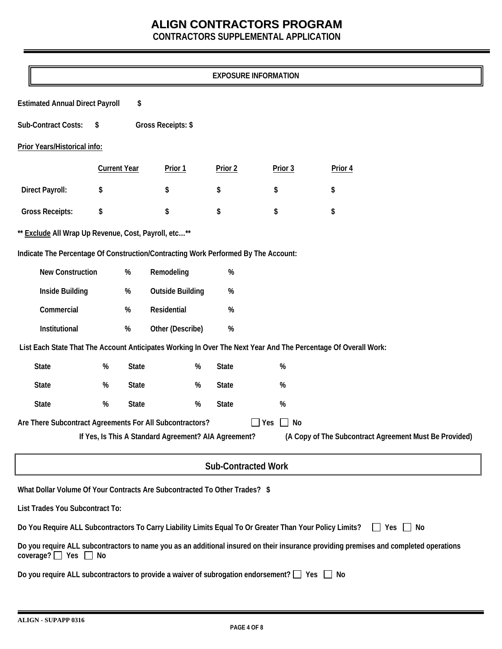**CONTRACTORS SUPPLEMENTAL APPLICATION** 

|                                                                                                          |                                                                                                                                                                         |                     |                                                      |              | <b>EXPOSURE INFORMATION</b> |                                                                                                                |    |  |
|----------------------------------------------------------------------------------------------------------|-------------------------------------------------------------------------------------------------------------------------------------------------------------------------|---------------------|------------------------------------------------------|--------------|-----------------------------|----------------------------------------------------------------------------------------------------------------|----|--|
|                                                                                                          | <b>Estimated Annual Direct Payroll</b><br>\$                                                                                                                            |                     |                                                      |              |                             |                                                                                                                |    |  |
| Sub-Contract Costs:<br>\$<br>Gross Receipts: \$                                                          |                                                                                                                                                                         |                     |                                                      |              |                             |                                                                                                                |    |  |
|                                                                                                          | Prior Years/Historical info:                                                                                                                                            |                     |                                                      |              |                             |                                                                                                                |    |  |
|                                                                                                          |                                                                                                                                                                         | <b>Current Year</b> | Prior 1                                              | Prior 2      | Prior 3                     | Prior 4                                                                                                        |    |  |
| <b>Direct Payroll:</b>                                                                                   | \$                                                                                                                                                                      |                     | \$                                                   | \$           | \$                          | \$                                                                                                             |    |  |
| <b>Gross Receipts:</b>                                                                                   | \$                                                                                                                                                                      |                     | \$                                                   | \$           | \$                          | \$                                                                                                             |    |  |
| ** Exclude All Wrap Up Revenue, Cost, Payroll, etc**                                                     |                                                                                                                                                                         |                     |                                                      |              |                             |                                                                                                                |    |  |
| Indicate The Percentage Of Construction/Contracting Work Performed By The Account:                       |                                                                                                                                                                         |                     |                                                      |              |                             |                                                                                                                |    |  |
| <b>New Construction</b>                                                                                  |                                                                                                                                                                         | $\%$                | Remodeling                                           | $\%$         |                             |                                                                                                                |    |  |
| Inside Building                                                                                          |                                                                                                                                                                         | $\%$                | <b>Outside Building</b>                              | $\%$         |                             |                                                                                                                |    |  |
| Commercial                                                                                               |                                                                                                                                                                         | $\%$                | Residential                                          | $\%$         |                             |                                                                                                                |    |  |
| Institutional                                                                                            |                                                                                                                                                                         | $\%$                | Other (Describe)                                     | $\%$         |                             |                                                                                                                |    |  |
|                                                                                                          |                                                                                                                                                                         |                     |                                                      |              |                             | List Each State That The Account Anticipates Working In Over The Next Year And The Percentage Of Overall Work: |    |  |
| <b>State</b>                                                                                             | $\%$                                                                                                                                                                    | <b>State</b>        | $\%$                                                 | <b>State</b> | $\%$                        |                                                                                                                |    |  |
| <b>State</b>                                                                                             | $\%$                                                                                                                                                                    | <b>State</b>        | $\%$                                                 | <b>State</b> | $\%$                        |                                                                                                                |    |  |
| <b>State</b>                                                                                             | $\%$                                                                                                                                                                    | <b>State</b>        | $\%$                                                 | <b>State</b> | $\%$                        |                                                                                                                |    |  |
| Are There Subcontract Agreements For All Subcontractors?                                                 |                                                                                                                                                                         |                     | If Yes, Is This A Standard Agreement? AIA Agreement? |              | No<br>Yes                   | (A Copy of The Subcontract Agreement Must Be Provided)                                                         |    |  |
|                                                                                                          |                                                                                                                                                                         |                     |                                                      |              | <b>Sub-Contracted Work</b>  |                                                                                                                |    |  |
| What Dollar Volume Of Your Contracts Are Subcontracted To Other Trades? \$                               |                                                                                                                                                                         |                     |                                                      |              |                             |                                                                                                                |    |  |
| List Trades You Subcontract To:                                                                          |                                                                                                                                                                         |                     |                                                      |              |                             |                                                                                                                |    |  |
| Do You Require ALL Subcontractors To Carry Liability Limits Equal To Or Greater Than Your Policy Limits? |                                                                                                                                                                         |                     |                                                      |              |                             | Yes  <br>$\mathbf{1}$                                                                                          | No |  |
|                                                                                                          | Do you require ALL subcontractors to name you as an additional insured on their insurance providing premises and completed operations<br>coverage? $\Box$ Yes $\Box$ No |                     |                                                      |              |                             |                                                                                                                |    |  |
| Do you require ALL subcontractors to provide a waiver of subrogation endorsement? $\Box$ Yes $\Box$ No   |                                                                                                                                                                         |                     |                                                      |              |                             |                                                                                                                |    |  |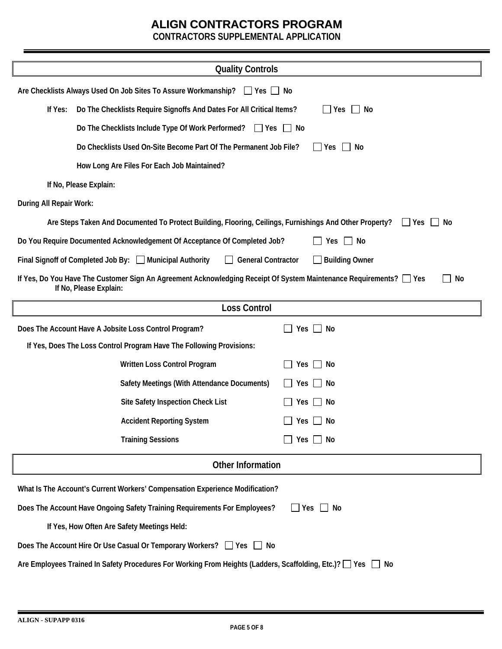**CONTRACTORS SUPPLEMENTAL APPLICATION** 

| <b>Quality Controls</b>                                                                       |                                                                                                                                                    |                    |  |  |  |  |  |
|-----------------------------------------------------------------------------------------------|----------------------------------------------------------------------------------------------------------------------------------------------------|--------------------|--|--|--|--|--|
|                                                                                               | Are Checklists Always Used On Job Sites To Assure Workmanship? Thes T No                                                                           |                    |  |  |  |  |  |
| If Yes:                                                                                       | Do The Checklists Require Signoffs And Dates For All Critical Items?<br>Yes<br>No                                                                  |                    |  |  |  |  |  |
|                                                                                               | Do The Checklists Include Type Of Work Performed?<br>$\Box$ Yes $\Box$ No                                                                          |                    |  |  |  |  |  |
|                                                                                               | Do Checklists Used On-Site Become Part Of The Permanent Job File?                                                                                  | $\Box$ Yes<br>  No |  |  |  |  |  |
|                                                                                               | How Long Are Files For Each Job Maintained?                                                                                                        |                    |  |  |  |  |  |
|                                                                                               | If No, Please Explain:                                                                                                                             |                    |  |  |  |  |  |
| During All Repair Work:                                                                       |                                                                                                                                                    |                    |  |  |  |  |  |
|                                                                                               | Are Steps Taken And Documented To Protect Building, Flooring, Ceilings, Furnishings And Other Property?                                            | No<br>l Yes        |  |  |  |  |  |
|                                                                                               | Do You Require Documented Acknowledgement Of Acceptance Of Completed Job?                                                                          | Yes $\Box$ No      |  |  |  |  |  |
|                                                                                               | Final Signoff of Completed Job By: Municipal Authority<br><b>General Contractor</b>                                                                | Building Owner     |  |  |  |  |  |
|                                                                                               | If Yes, Do You Have The Customer Sign An Agreement Acknowledging Receipt Of System Maintenance Requirements? □ Yes<br>No<br>If No, Please Explain: |                    |  |  |  |  |  |
|                                                                                               | <b>Loss Control</b>                                                                                                                                |                    |  |  |  |  |  |
|                                                                                               | Does The Account Have A Jobsite Loss Control Program?<br>$\Box$ No<br>Yes                                                                          |                    |  |  |  |  |  |
|                                                                                               | If Yes, Does The Loss Control Program Have The Following Provisions:                                                                               |                    |  |  |  |  |  |
|                                                                                               | Written Loss Control Program                                                                                                                       | $Yes \Box No$      |  |  |  |  |  |
|                                                                                               | Safety Meetings (With Attendance Documents)<br>Yes                                                                                                 | No                 |  |  |  |  |  |
|                                                                                               | Site Safety Inspection Check List<br>Yes                                                                                                           | No                 |  |  |  |  |  |
|                                                                                               | <b>Accident Reporting System</b><br>Yes                                                                                                            | No                 |  |  |  |  |  |
|                                                                                               | <b>Training Sessions</b>                                                                                                                           | Yes $\Box$ No      |  |  |  |  |  |
|                                                                                               | <b>Other Information</b>                                                                                                                           |                    |  |  |  |  |  |
| What Is The Account's Current Workers' Compensation Experience Modification?                  |                                                                                                                                                    |                    |  |  |  |  |  |
| Does The Account Have Ongoing Safety Training Requirements For Employees?<br>$\Box$ Yes<br>No |                                                                                                                                                    |                    |  |  |  |  |  |
| If Yes, How Often Are Safety Meetings Held:                                                   |                                                                                                                                                    |                    |  |  |  |  |  |
|                                                                                               | Does The Account Hire Or Use Casual Or Temporary Workers? □ Yes □ No                                                                               |                    |  |  |  |  |  |
|                                                                                               | Are Employees Trained In Safety Procedures For Working From Heights (Ladders, Scaffolding, Etc.)? □ Yes □                                          | No                 |  |  |  |  |  |
|                                                                                               |                                                                                                                                                    |                    |  |  |  |  |  |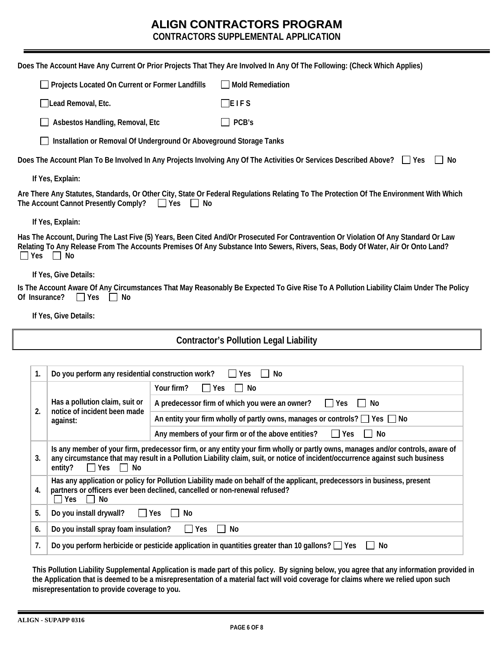**CONTRACTORS SUPPLEMENTAL APPLICATION** 

|                                                                                                                                                                                                                                                                                                                      |                                                                                                                                                                                                                     |                                                                                      | Does The Account Have Any Current Or Prior Projects That They Are Involved In Any Of The Following: (Check Which Applies)                                                                                                                                              |  |  |  |  |
|----------------------------------------------------------------------------------------------------------------------------------------------------------------------------------------------------------------------------------------------------------------------------------------------------------------------|---------------------------------------------------------------------------------------------------------------------------------------------------------------------------------------------------------------------|--------------------------------------------------------------------------------------|------------------------------------------------------------------------------------------------------------------------------------------------------------------------------------------------------------------------------------------------------------------------|--|--|--|--|
|                                                                                                                                                                                                                                                                                                                      | Projects Located On Current or Former Landfills                                                                                                                                                                     |                                                                                      | <b>Mold Remediation</b>                                                                                                                                                                                                                                                |  |  |  |  |
|                                                                                                                                                                                                                                                                                                                      | $\Box$ Lead Removal, Etc.                                                                                                                                                                                           |                                                                                      | $\Box$ E I F S                                                                                                                                                                                                                                                         |  |  |  |  |
|                                                                                                                                                                                                                                                                                                                      | Asbestos Handling, Removal, Etc                                                                                                                                                                                     |                                                                                      | PCB's                                                                                                                                                                                                                                                                  |  |  |  |  |
|                                                                                                                                                                                                                                                                                                                      | Installation or Removal Of Underground Or Aboveground Storage Tanks                                                                                                                                                 |                                                                                      |                                                                                                                                                                                                                                                                        |  |  |  |  |
|                                                                                                                                                                                                                                                                                                                      |                                                                                                                                                                                                                     |                                                                                      | Does The Account Plan To Be Involved In Any Projects Involving Any Of The Activities Or Services Described Above? Tes<br>No                                                                                                                                            |  |  |  |  |
|                                                                                                                                                                                                                                                                                                                      | If Yes, Explain:                                                                                                                                                                                                    |                                                                                      |                                                                                                                                                                                                                                                                        |  |  |  |  |
|                                                                                                                                                                                                                                                                                                                      | The Account Cannot Presently Comply?                                                                                                                                                                                | $\Box$ Yes<br>No                                                                     | Are There Any Statutes, Standards, Or Other City, State Or Federal Regulations Relating To The Protection Of The Environment With Which                                                                                                                                |  |  |  |  |
|                                                                                                                                                                                                                                                                                                                      | If Yes, Explain:                                                                                                                                                                                                    |                                                                                      |                                                                                                                                                                                                                                                                        |  |  |  |  |
| $\Box$ Yes                                                                                                                                                                                                                                                                                                           | No<br>$\perp$                                                                                                                                                                                                       |                                                                                      | Has The Account, During The Last Five (5) Years, Been Cited And/Or Prosecuted For Contravention Or Violation Of Any Standard Or Law<br>Relating To Any Release From The Accounts Premises Of Any Substance Into Sewers, Rivers, Seas, Body Of Water, Air Or Onto Land? |  |  |  |  |
|                                                                                                                                                                                                                                                                                                                      | If Yes, Give Details:                                                                                                                                                                                               |                                                                                      |                                                                                                                                                                                                                                                                        |  |  |  |  |
|                                                                                                                                                                                                                                                                                                                      | Of Insurance?<br>$\Box$ Yes<br>No                                                                                                                                                                                   |                                                                                      | Is The Account Aware Of Any Circumstances That May Reasonably Be Expected To Give Rise To A Pollution Liability Claim Under The Policy                                                                                                                                 |  |  |  |  |
|                                                                                                                                                                                                                                                                                                                      | If Yes, Give Details:                                                                                                                                                                                               |                                                                                      |                                                                                                                                                                                                                                                                        |  |  |  |  |
|                                                                                                                                                                                                                                                                                                                      |                                                                                                                                                                                                                     |                                                                                      | <b>Contractor's Pollution Legal Liability</b>                                                                                                                                                                                                                          |  |  |  |  |
|                                                                                                                                                                                                                                                                                                                      |                                                                                                                                                                                                                     |                                                                                      |                                                                                                                                                                                                                                                                        |  |  |  |  |
| 1.                                                                                                                                                                                                                                                                                                                   | Do you perform any residential construction work?                                                                                                                                                                   |                                                                                      | Yes<br>No                                                                                                                                                                                                                                                              |  |  |  |  |
|                                                                                                                                                                                                                                                                                                                      |                                                                                                                                                                                                                     | Your firm?<br>$\Box$ Yes                                                             | No                                                                                                                                                                                                                                                                     |  |  |  |  |
|                                                                                                                                                                                                                                                                                                                      | Has a pollution claim, suit or<br>notice of incident been made                                                                                                                                                      |                                                                                      | A predecessor firm of which you were an owner?<br>$\square$ Yes<br>No                                                                                                                                                                                                  |  |  |  |  |
| 2.<br>against:                                                                                                                                                                                                                                                                                                       |                                                                                                                                                                                                                     | An entity your firm wholly of partly owns, manages or controls? $\Box$ Yes $\Box$ No |                                                                                                                                                                                                                                                                        |  |  |  |  |
| Any members of your firm or of the above entities?<br>Yes<br>No                                                                                                                                                                                                                                                      |                                                                                                                                                                                                                     |                                                                                      |                                                                                                                                                                                                                                                                        |  |  |  |  |
| Is any member of your firm, predecessor firm, or any entity your firm wholly or partly owns, manages and/or controls, aware of<br>any circumstance that may result in a Pollution Liability claim, suit, or notice of incident/occurrence against such business<br>3.<br>entity?<br>$\Box$ Yes<br>No<br>$\mathbf{1}$ |                                                                                                                                                                                                                     |                                                                                      |                                                                                                                                                                                                                                                                        |  |  |  |  |
| 4.                                                                                                                                                                                                                                                                                                                   | Has any application or policy for Pollution Liability made on behalf of the applicant, predecessors in business, present<br>partners or officers ever been declined, cancelled or non-renewal refused?<br>Yes<br>No |                                                                                      |                                                                                                                                                                                                                                                                        |  |  |  |  |
| 5.                                                                                                                                                                                                                                                                                                                   | Do you install drywall?<br>$\Box$ Yes                                                                                                                                                                               | No                                                                                   |                                                                                                                                                                                                                                                                        |  |  |  |  |
| 6.                                                                                                                                                                                                                                                                                                                   | Do you install spray foam insulation?                                                                                                                                                                               | $\Box$ Yes                                                                           | No                                                                                                                                                                                                                                                                     |  |  |  |  |
|                                                                                                                                                                                                                                                                                                                      |                                                                                                                                                                                                                     |                                                                                      |                                                                                                                                                                                                                                                                        |  |  |  |  |

**7.** Do you perform herbicide or pesticide application in quantities greater than 10 gallons?  $\Box$  Yes  $\Box$  No

**This Pollution Liability Supplemental Application is made part of this policy. By signing below, you agree that any information provided in the Application that is deemed to be a misrepresentation of a material fact will void coverage for claims where we relied upon such misrepresentation to provide coverage to you.**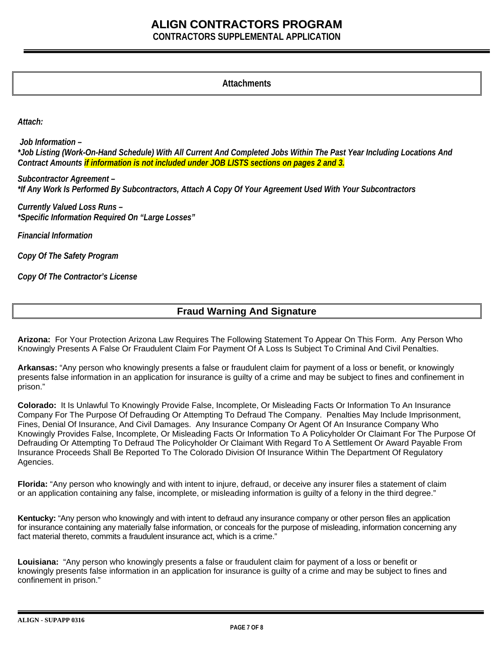**CONTRACTORS SUPPLEMENTAL APPLICATION** 

#### **Attachments**

*Attach:* 

 *Job Information – \*Job Listing (Work-On-Hand Schedule) With All Current And Completed Jobs Within The Past Year Including Locations And Contract Amounts if information is not included under JOB LISTS sections on pages 2 and 3.* 

*Subcontractor Agreement – \*If Any Work Is Performed By Subcontractors, Attach A Copy Of Your Agreement Used With Your Subcontractors*

*Currently Valued Loss Runs – \*Specific Information Required On "Large Losses"*

*Financial Information* 

*Copy Of The Safety Program* 

*Copy Of The Contractor's License* 

### **Fraud Warning And Signature**

**Arizona:** For Your Protection Arizona Law Requires The Following Statement To Appear On This Form. Any Person Who Knowingly Presents A False Or Fraudulent Claim For Payment Of A Loss Is Subject To Criminal And Civil Penalties.

**Arkansas:** "Any person who knowingly presents a false or fraudulent claim for payment of a loss or benefit, or knowingly presents false information in an application for insurance is guilty of a crime and may be subject to fines and confinement in prison."

**Colorado:** It Is Unlawful To Knowingly Provide False, Incomplete, Or Misleading Facts Or Information To An Insurance Company For The Purpose Of Defrauding Or Attempting To Defraud The Company. Penalties May Include Imprisonment, Fines, Denial Of Insurance, And Civil Damages. Any Insurance Company Or Agent Of An Insurance Company Who Knowingly Provides False, Incomplete, Or Misleading Facts Or Information To A Policyholder Or Claimant For The Purpose Of Defrauding Or Attempting To Defraud The Policyholder Or Claimant With Regard To A Settlement Or Award Payable From Insurance Proceeds Shall Be Reported To The Colorado Division Of Insurance Within The Department Of Regulatory Agencies.

**Florida:** "Any person who knowingly and with intent to injure, defraud, or deceive any insurer files a statement of claim or an application containing any false, incomplete, or misleading information is guilty of a felony in the third degree."

**Kentucky:** "Any person who knowingly and with intent to defraud any insurance company or other person files an application for insurance containing any materially false information, or conceals for the purpose of misleading, information concerning any fact material thereto, commits a fraudulent insurance act, which is a crime."

**Louisiana:** "Any person who knowingly presents a false or fraudulent claim for payment of a loss or benefit or knowingly presents false information in an application for insurance is guilty of a crime and may be subject to fines and confinement in prison."